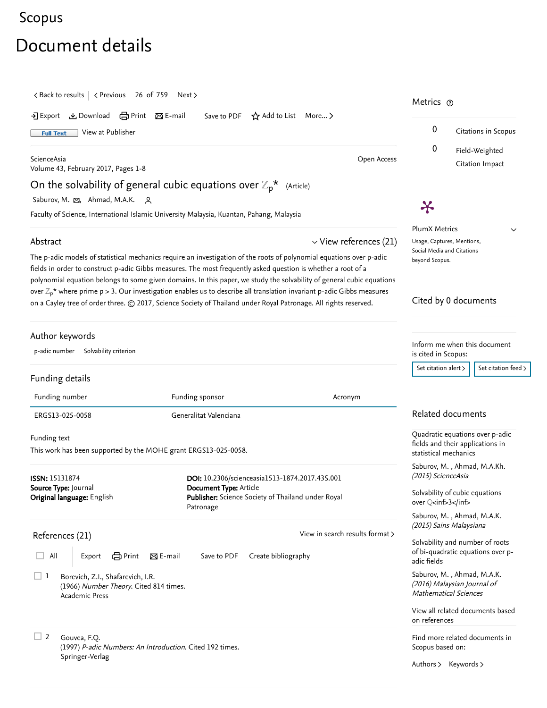## [Scopus](https://www.scopus.com/home.uri?zone=header&origin=searchbasic)

## Document details

<span id="page-0-0"></span>

| $\langle$ Back to results $\langle$ Previous 26 of 759<br>Next >                                                                                                |                                                                                                                                                                                                                                                                                                                                                                                                                                                                                                 | Metrics ®                                                                                       |                                                                      |
|-----------------------------------------------------------------------------------------------------------------------------------------------------------------|-------------------------------------------------------------------------------------------------------------------------------------------------------------------------------------------------------------------------------------------------------------------------------------------------------------------------------------------------------------------------------------------------------------------------------------------------------------------------------------------------|-------------------------------------------------------------------------------------------------|----------------------------------------------------------------------|
| とDownload 白Print 図E-mail<br>-기 Export<br>View at Publisher<br><b>Full Text</b>                                                                                  | Save to PDF $\star$ Add to List More >                                                                                                                                                                                                                                                                                                                                                                                                                                                          | 0                                                                                               | Citations in Scopus                                                  |
| ScienceAsia<br>Volume 43, February 2017, Pages 1-8                                                                                                              | Open Access                                                                                                                                                                                                                                                                                                                                                                                                                                                                                     | 0                                                                                               | Field-Weighted<br>Citation Impact                                    |
| On the solvability of general cubic equations over $\mathbb{Z}_p^{\star}$ (Article)                                                                             |                                                                                                                                                                                                                                                                                                                                                                                                                                                                                                 |                                                                                                 |                                                                      |
| Saburov, M. &, Ahmad, M.A.K.<br><u>__</u>                                                                                                                       |                                                                                                                                                                                                                                                                                                                                                                                                                                                                                                 |                                                                                                 |                                                                      |
| Faculty of Science, International Islamic University Malaysia, Kuantan, Pahang, Malaysia                                                                        |                                                                                                                                                                                                                                                                                                                                                                                                                                                                                                 | Ӿ                                                                                               |                                                                      |
| $\vee$ View references (21)<br>Abstract<br>The p-adic models of statistical mechanics require an investigation of the roots of polynomial equations over p-adic |                                                                                                                                                                                                                                                                                                                                                                                                                                                                                                 | <b>PlumX Metrics</b><br>$\check{ }$<br>Usage, Captures, Mentions,<br>Social Media and Citations |                                                                      |
|                                                                                                                                                                 | fields in order to construct p-adic Gibbs measures. The most frequently asked question is whether a root of a<br>polynomial equation belongs to some given domains. In this paper, we study the solvability of general cubic equations<br>over $\mathbb{Z}_p^*$ where prime p > 3. Our investigation enables us to describe all translation invariant p-adic Gibbs measures<br>on a Cayley tree of order three. © 2017, Science Society of Thailand under Royal Patronage. All rights reserved. | beyond Scopus.                                                                                  | Cited by 0 documents                                                 |
| Author keywords<br>p-adic number Solvability criterion                                                                                                          |                                                                                                                                                                                                                                                                                                                                                                                                                                                                                                 | Inform me when this document<br>is cited in Scopus:                                             |                                                                      |
|                                                                                                                                                                 |                                                                                                                                                                                                                                                                                                                                                                                                                                                                                                 | Set citation alert >                                                                            | Set citation feed >                                                  |
| Funding details                                                                                                                                                 |                                                                                                                                                                                                                                                                                                                                                                                                                                                                                                 |                                                                                                 |                                                                      |
| Funding number                                                                                                                                                  | Funding sponsor<br>Acronym                                                                                                                                                                                                                                                                                                                                                                                                                                                                      |                                                                                                 |                                                                      |
| Generalitat Valenciana<br>ERGS13-025-0058                                                                                                                       |                                                                                                                                                                                                                                                                                                                                                                                                                                                                                                 | Related documents                                                                               |                                                                      |
| Funding text<br>This work has been supported by the MOHE grant ERGS13-025-0058.                                                                                 |                                                                                                                                                                                                                                                                                                                                                                                                                                                                                                 | Quadratic equations over p-adic<br>fields and their applications in<br>statistical mechanics    |                                                                      |
| <b>ISSN: 15131874</b>                                                                                                                                           | DOI: 10.2306/scienceasia1513-1874.2017.43S.001                                                                                                                                                                                                                                                                                                                                                                                                                                                  | (2015) ScienceAsia                                                                              | Saburov, M., Ahmad, M.A.Kh.                                          |
| Source Type: Journal<br>Original language: English                                                                                                              | Document Type: Article<br>Publisher: Science Society of Thailand under Royal<br>Patronage                                                                                                                                                                                                                                                                                                                                                                                                       | over Q <inf>3</inf>                                                                             | Solvability of cubic equations                                       |
| References (21)                                                                                                                                                 | View in search results format >                                                                                                                                                                                                                                                                                                                                                                                                                                                                 | (2015) Sains Malaysiana                                                                         | Saburov, M., Ahmad, M.A.K.                                           |
| All<br>$\boxtimes$ E-mail<br><b>合</b> Print<br>Export                                                                                                           | Save to PDF<br>Create bibliography                                                                                                                                                                                                                                                                                                                                                                                                                                                              | adic fields                                                                                     | Solvability and number of roots<br>of bi-quadratic equations over p- |
| $\sqcup$ 1<br>Borevich, Z.I., Shafarevich, I.R.<br>(1966) Number Theory. Cited 814 times.<br><b>Academic Press</b>                                              |                                                                                                                                                                                                                                                                                                                                                                                                                                                                                                 | <b>Mathematical Sciences</b>                                                                    | Saburov, M., Ahmad, M.A.K.<br>(2016) Malaysian Journal of            |
|                                                                                                                                                                 |                                                                                                                                                                                                                                                                                                                                                                                                                                                                                                 | on references                                                                                   | View all related documents based                                     |
| $\Box$ 2<br>Gouvea, F.Q.<br>(1997) P-adic Numbers: An Introduction. Cited 192 times.                                                                            |                                                                                                                                                                                                                                                                                                                                                                                                                                                                                                 | Scopus based on:                                                                                | Find more related documents in                                       |
| Springer-Verlag                                                                                                                                                 |                                                                                                                                                                                                                                                                                                                                                                                                                                                                                                 | Authors > Keywords >                                                                            |                                                                      |